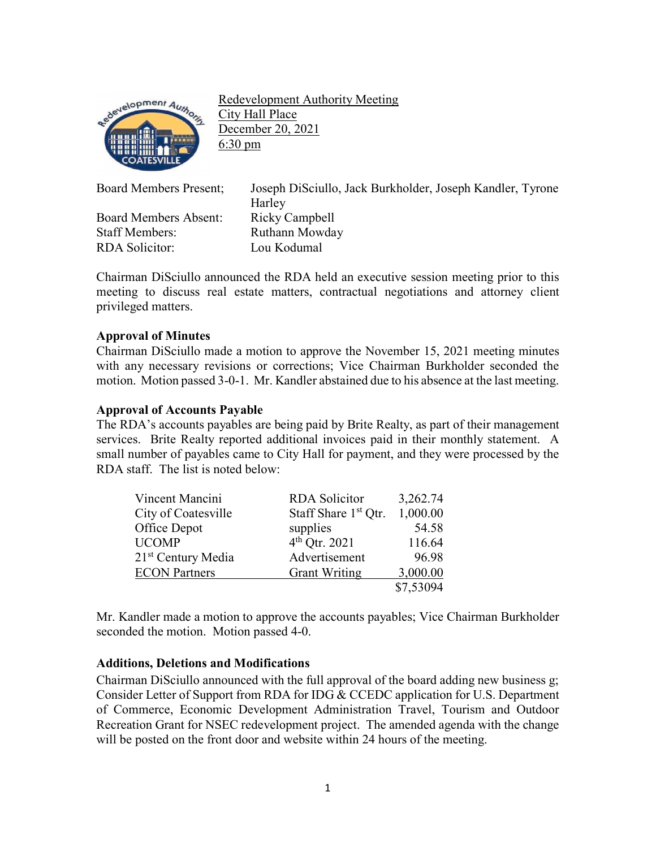

Redevelopment Authority Meeting City Hall Place December 20, 2021 6:30 pm

Board Members Absent: Ricky Campbell Staff Members: Ruthann Mowday RDA Solicitor: Lou Kodumal

Board Members Present; Joseph DiSciullo, Jack Burkholder, Joseph Kandler, Tyrone Harley

Chairman DiSciullo announced the RDA held an executive session meeting prior to this meeting to discuss real estate matters, contractual negotiations and attorney client privileged matters.

# **Approval of Minutes**

Chairman DiSciullo made a motion to approve the November 15, 2021 meeting minutes with any necessary revisions or corrections; Vice Chairman Burkholder seconded the motion. Motion passed 3-0-1. Mr. Kandler abstained due to his absence at the last meeting.

# **Approval of Accounts Payable**

The RDA's accounts payables are being paid by Brite Realty, as part of their management services. Brite Realty reported additional invoices paid in their monthly statement. A small number of payables came to City Hall for payment, and they were processed by the RDA staff. The list is noted below:

| Vincent Mancini                | <b>RDA</b> Solicitor             | 3,262.74  |
|--------------------------------|----------------------------------|-----------|
| City of Coatesville            | Staff Share 1 <sup>st</sup> Qtr. | 1,000.00  |
| Office Depot                   | supplies                         | 54.58     |
| <b>UCOMP</b>                   | $4^{th}$ Qtr. 2021               | 116.64    |
| 21 <sup>st</sup> Century Media | Advertisement                    | 96.98     |
| <b>ECON Partners</b>           | <b>Grant Writing</b>             | 3,000.00  |
|                                |                                  | \$7,53094 |

Mr. Kandler made a motion to approve the accounts payables; Vice Chairman Burkholder seconded the motion. Motion passed 4-0.

# **Additions, Deletions and Modifications**

Chairman DiSciullo announced with the full approval of the board adding new business g; Consider Letter of Support from RDA for IDG & CCEDC application for U.S. Department of Commerce, Economic Development Administration Travel, Tourism and Outdoor Recreation Grant for NSEC redevelopment project. The amended agenda with the change will be posted on the front door and website within 24 hours of the meeting.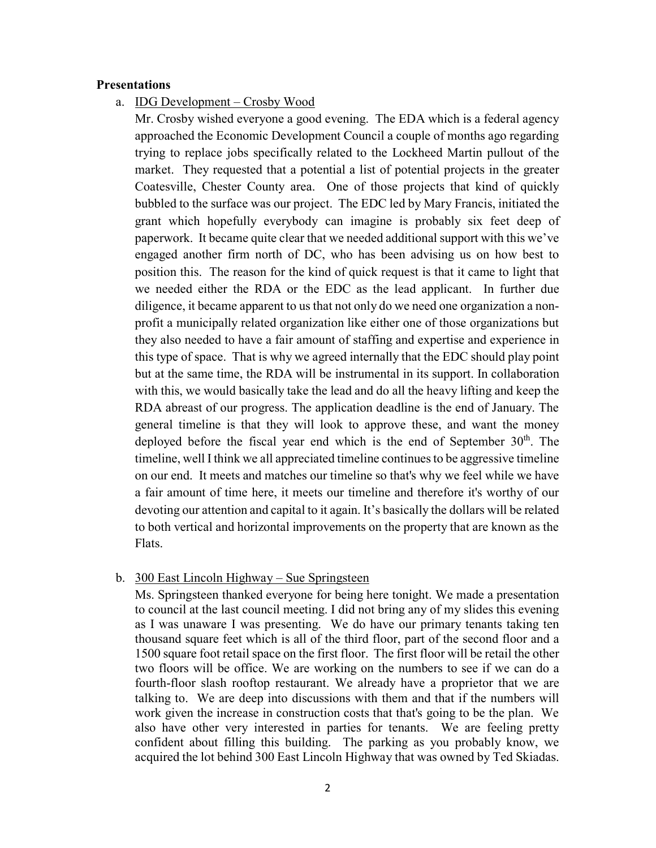### **Presentations**

a. IDG Development – Crosby Wood

Mr. Crosby wished everyone a good evening. The EDA which is a federal agency approached the Economic Development Council a couple of months ago regarding trying to replace jobs specifically related to the Lockheed Martin pullout of the market. They requested that a potential a list of potential projects in the greater Coatesville, Chester County area. One of those projects that kind of quickly bubbled to the surface was our project. The EDC led by Mary Francis, initiated the grant which hopefully everybody can imagine is probably six feet deep of paperwork. It became quite clear that we needed additional support with this we've engaged another firm north of DC, who has been advising us on how best to position this. The reason for the kind of quick request is that it came to light that we needed either the RDA or the EDC as the lead applicant. In further due diligence, it became apparent to us that not only do we need one organization a nonprofit a municipally related organization like either one of those organizations but they also needed to have a fair amount of staffing and expertise and experience in this type of space. That is why we agreed internally that the EDC should play point but at the same time, the RDA will be instrumental in its support. In collaboration with this, we would basically take the lead and do all the heavy lifting and keep the RDA abreast of our progress. The application deadline is the end of January. The general timeline is that they will look to approve these, and want the money deployed before the fiscal year end which is the end of September  $30<sup>th</sup>$ . The timeline, well I think we all appreciated timeline continues to be aggressive timeline on our end. It meets and matches our timeline so that's why we feel while we have a fair amount of time here, it meets our timeline and therefore it's worthy of our devoting our attention and capital to it again. It's basically the dollars will be related to both vertical and horizontal improvements on the property that are known as the Flats.

### b. 300 East Lincoln Highway – Sue Springsteen

Ms. Springsteen thanked everyone for being here tonight. We made a presentation to council at the last council meeting. I did not bring any of my slides this evening as I was unaware I was presenting. We do have our primary tenants taking ten thousand square feet which is all of the third floor, part of the second floor and a 1500 square foot retail space on the first floor. The first floor will be retail the other two floors will be office. We are working on the numbers to see if we can do a fourth-floor slash rooftop restaurant. We already have a proprietor that we are talking to. We are deep into discussions with them and that if the numbers will work given the increase in construction costs that that's going to be the plan. We also have other very interested in parties for tenants. We are feeling pretty confident about filling this building. The parking as you probably know, we acquired the lot behind 300 East Lincoln Highway that was owned by Ted Skiadas.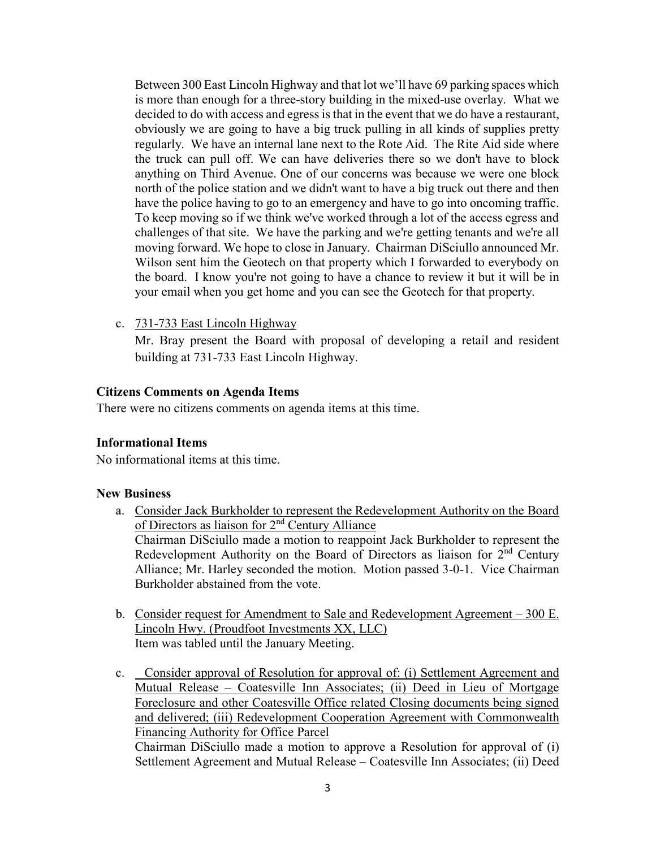Between 300 East Lincoln Highway and that lot we'll have 69 parking spaces which is more than enough for a three-story building in the mixed-use overlay. What we decided to do with access and egress is that in the event that we do have a restaurant, obviously we are going to have a big truck pulling in all kinds of supplies pretty regularly. We have an internal lane next to the Rote Aid. The Rite Aid side where the truck can pull off. We can have deliveries there so we don't have to block anything on Third Avenue. One of our concerns was because we were one block north of the police station and we didn't want to have a big truck out there and then have the police having to go to an emergency and have to go into oncoming traffic. To keep moving so if we think we've worked through a lot of the access egress and challenges of that site. We have the parking and we're getting tenants and we're all moving forward. We hope to close in January. Chairman DiSciullo announced Mr. Wilson sent him the Geotech on that property which I forwarded to everybody on the board. I know you're not going to have a chance to review it but it will be in your email when you get home and you can see the Geotech for that property.

c. 731-733 East Lincoln Highway

Mr. Bray present the Board with proposal of developing a retail and resident building at 731-733 East Lincoln Highway.

## **Citizens Comments on Agenda Items**

There were no citizens comments on agenda items at this time.

### **Informational Items**

No informational items at this time.

### **New Business**

- a. Consider Jack Burkholder to represent the Redevelopment Authority on the Board of Directors as liaison for 2nd Century Alliance Chairman DiSciullo made a motion to reappoint Jack Burkholder to represent the Redevelopment Authority on the Board of Directors as liaison for  $2<sup>nd</sup>$  Century Alliance; Mr. Harley seconded the motion. Motion passed 3-0-1. Vice Chairman Burkholder abstained from the vote.
- b. Consider request for Amendment to Sale and Redevelopment Agreement 300 E. Lincoln Hwy. (Proudfoot Investments XX, LLC) Item was tabled until the January Meeting.
- c. Consider approval of Resolution for approval of: (i) Settlement Agreement and Mutual Release – Coatesville Inn Associates; (ii) Deed in Lieu of Mortgage Foreclosure and other Coatesville Office related Closing documents being signed and delivered; (iii) Redevelopment Cooperation Agreement with Commonwealth Financing Authority for Office Parcel

Chairman DiSciullo made a motion to approve a Resolution for approval of (i) Settlement Agreement and Mutual Release – Coatesville Inn Associates; (ii) Deed